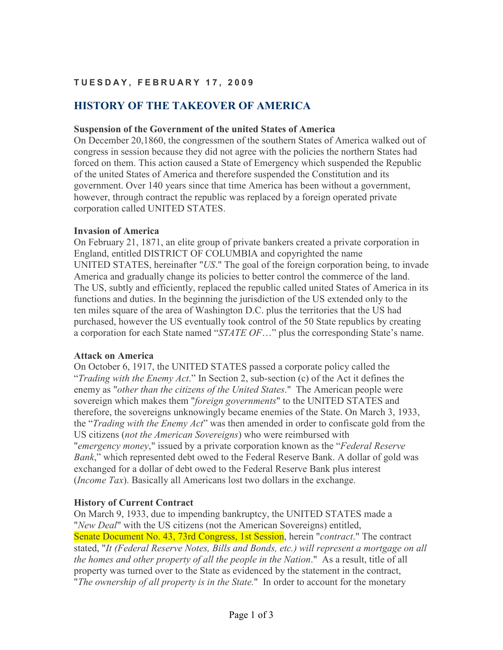# **T U E S D A Y , F E B R U A R Y 1 7 , 2 0 0 9**

# **HISTORY OF THE TAKEOVER OF AMERICA**

#### **Suspension of the Government of the united States of America**

On December 20,1860, the congressmen of the southern States of America walked out of congress in session because they did not agree with the policies the northern States had forced on them. This action caused a State of Emergency which suspended the Republic of the united States of America and therefore suspended the Constitution and its government. Over 140 years since that time America has been without a government, however, through contract the republic was replaced by a foreign operated private corporation called UNITED STATES.

#### **Invasion of America**

On February 21, 1871, an elite group of private bankers created a private corporation in England, entitled DISTRICT OF COLUMBIA and copyrighted the name UNITED STATES, hereinafter "*US*." The goal of the foreign corporation being, to invade America and gradually change its policies to better control the commerce of the land. The US, subtly and efficiently, replaced the republic called united States of America in its functions and duties. In the beginning the jurisdiction of the US extended only to the ten miles square of the area of Washington D.C. plus the territories that the US had purchased, however the US eventually took control of the 50 State republics by creating a corporation for each State named "*STATE OF*…" plus the corresponding State's name.

#### **Attack on America**

On October 6, 1917, the UNITED STATES passed a corporate policy called the "*Trading with the Enemy Act*." In Section 2, sub-section (c) of the Act it defines the enemy as "*other than the citizens of the United States*." The American people were sovereign which makes them "*foreign governments*" to the UNITED STATES and therefore, the sovereigns unknowingly became enemies of the State. On March 3, 1933, the "*Trading with the Enemy Act*" was then amended in order to confiscate gold from the US citizens (*not the American Sovereigns*) who were reimbursed with "*emergency money*," issued by a private corporation known as the "*Federal Reserve Bank*," which represented debt owed to the Federal Reserve Bank. A dollar of gold was exchanged for a dollar of debt owed to the Federal Reserve Bank plus interest (*Income Tax*). Basically all Americans lost two dollars in the exchange.

### **History of Current Contract**

On March 9, 1933, due to impending bankruptcy, the UNITED STATES made a "*New Deal*" with the US citizens (not the American Sovereigns) entitled, Senate Document No. 43, 73rd Congress, 1st Session, herein "*contract*." The contract stated, "*It (Federal Reserve Notes, Bills and Bonds, etc.) will represent a mortgage on all the homes and other property of all the people in the Nation*." As a result, title of all property was turned over to the State as evidenced by the statement in the contract, "*The ownership of all property is in the State.*" In order to account for the monetary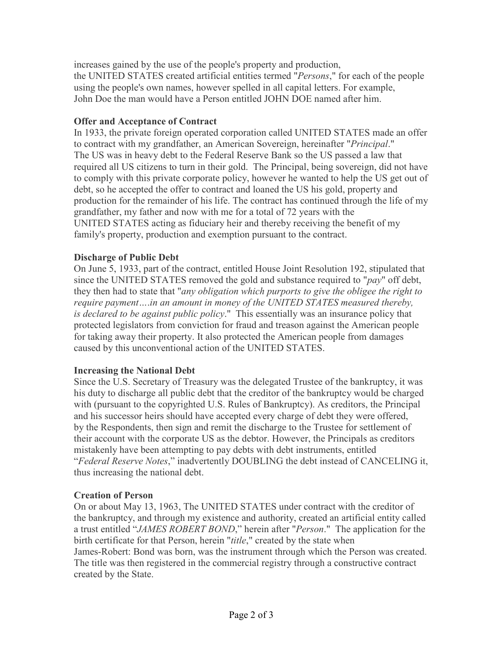increases gained by the use of the people's property and production, the UNITED STATES created artificial entities termed "*Persons*," for each of the people using the people's own names, however spelled in all capital letters. For example, John Doe the man would have a Person entitled JOHN DOE named after him.

# **Offer and Acceptance of Contract**

In 1933, the private foreign operated corporation called UNITED STATES made an offer to contract with my grandfather, an American Sovereign, hereinafter "*Principal*." The US was in heavy debt to the Federal Reserve Bank so the US passed a law that required all US citizens to turn in their gold. The Principal, being sovereign, did not have to comply with this private corporate policy, however he wanted to help the US get out of debt, so he accepted the offer to contract and loaned the US his gold, property and production for the remainder of his life. The contract has continued through the life of my grandfather, my father and now with me for a total of 72 years with the UNITED STATES acting as fiduciary heir and thereby receiving the benefit of my family's property, production and exemption pursuant to the contract.

### **Discharge of Public Debt**

On June 5, 1933, part of the contract, entitled House Joint Resolution 192, stipulated that since the UNITED STATES removed the gold and substance required to "*pay*" off debt, they then had to state that "*any obligation which purports to give the obligee the right to require payment*....*in an amount in money of the UNITED STATES measured thereby, is declared to be against public policy*." This essentially was an insurance policy that protected legislators from conviction for fraud and treason against the American people for taking away their property. It also protected the American people from damages caused by this unconventional action of the UNITED STATES.

# **Increasing the National Debt**

Since the U.S. Secretary of Treasury was the delegated Trustee of the bankruptcy, it was his duty to discharge all public debt that the creditor of the bankruptcy would be charged with (pursuant to the copyrighted U.S. Rules of Bankruptcy). As creditors, the Principal and his successor heirs should have accepted every charge of debt they were offered, by the Respondents, then sign and remit the discharge to the Trustee for settlement of their account with the corporate US as the debtor. However, the Principals as creditors mistakenly have been attempting to pay debts with debt instruments, entitled "*Federal Reserve !otes*," inadvertently DOUBLING the debt instead of CANCELING it, thus increasing the national debt.

### **Creation of Person**

On or about May 13, 1963, The UNITED STATES under contract with the creditor of the bankruptcy, and through my existence and authority, created an artificial entity called a trust entitled "*JAMES ROBERT BOND*," herein after "*Person*." The application for the birth certificate for that Person, herein "*title*," created by the state when James-Robert: Bond was born, was the instrument through which the Person was created. The title was then registered in the commercial registry through a constructive contract created by the State.